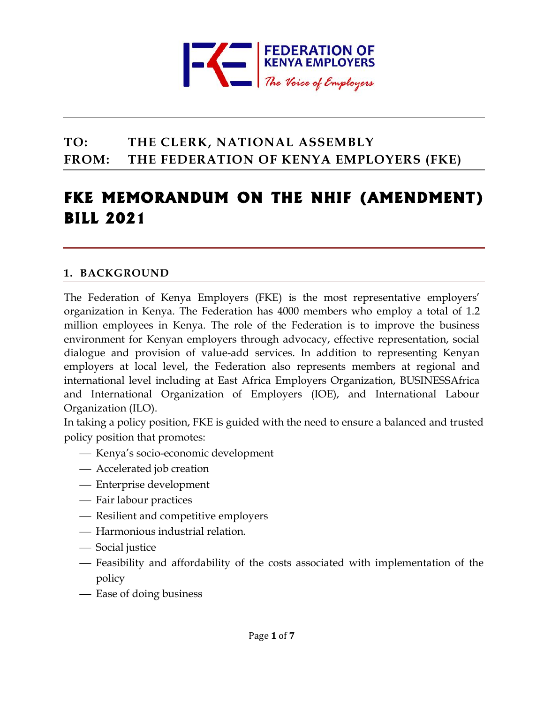

# **TO: THE CLERK, NATIONAL ASSEMBLY FROM: THE FEDERATION OF KENYA EMPLOYERS (FKE)**

# **FKE MEMORANDUM ON THE NHIF (AMENDMENT) BILL 2021**

### **1. BACKGROUND**

The Federation of Kenya Employers (FKE) is the most representative employers' organization in Kenya. The Federation has 4000 members who employ a total of 1.2 million employees in Kenya. The role of the Federation is to improve the business environment for Kenyan employers through advocacy, effective representation, social dialogue and provision of value-add services. In addition to representing Kenyan employers at local level, the Federation also represents members at regional and international level including at East Africa Employers Organization, BUSINESSAfrica and International Organization of Employers (IOE), and International Labour Organization (ILO).

In taking a policy position, FKE is guided with the need to ensure a balanced and trusted policy position that promotes:

- ⎯ Kenya's socio-economic development
- Accelerated job creation
- ⎯ Enterprise development
- Fair labour practices
- Resilient and competitive employers
- ⎯ Harmonious industrial relation.
- Social justice
- ⎯ Feasibility and affordability of the costs associated with implementation of the policy
- Ease of doing business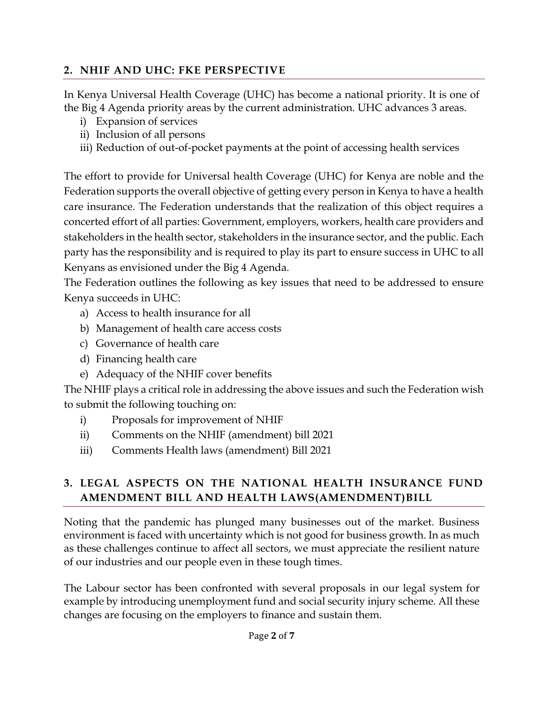### **2. NHIF AND UHC: FKE PERSPECTIVE**

In Kenya Universal Health Coverage (UHC) has become a national priority. It is one of the Big 4 Agenda priority areas by the current administration. UHC advances 3 areas.

- i) Expansion of services
- ii) Inclusion of all persons
- iii) Reduction of out-of-pocket payments at the point of accessing health services

The effort to provide for Universal health Coverage (UHC) for Kenya are noble and the Federation supports the overall objective of getting every person in Kenya to have a health care insurance. The Federation understands that the realization of this object requires a concerted effort of all parties: Government, employers, workers, health care providers and stakeholders in the health sector, stakeholders in the insurance sector, and the public. Each party has the responsibility and is required to play its part to ensure success in UHC to all Kenyans as envisioned under the Big 4 Agenda.

The Federation outlines the following as key issues that need to be addressed to ensure Kenya succeeds in UHC:

- a) Access to health insurance for all
- b) Management of health care access costs
- c) Governance of health care
- d) Financing health care
- e) Adequacy of the NHIF cover benefits

The NHIF plays a critical role in addressing the above issues and such the Federation wish to submit the following touching on:

- i) Proposals for improvement of NHIF
- ii) Comments on the NHIF (amendment) bill 2021
- iii) Comments Health laws (amendment) Bill 2021

## **3. LEGAL ASPECTS ON THE NATIONAL HEALTH INSURANCE FUND AMENDMENT BILL AND HEALTH LAWS(AMENDMENT)BILL**

Noting that the pandemic has plunged many businesses out of the market. Business environment is faced with uncertainty which is not good for business growth. In as much as these challenges continue to affect all sectors, we must appreciate the resilient nature of our industries and our people even in these tough times.

The Labour sector has been confronted with several proposals in our legal system for example by introducing unemployment fund and social security injury scheme. All these changes are focusing on the employers to finance and sustain them.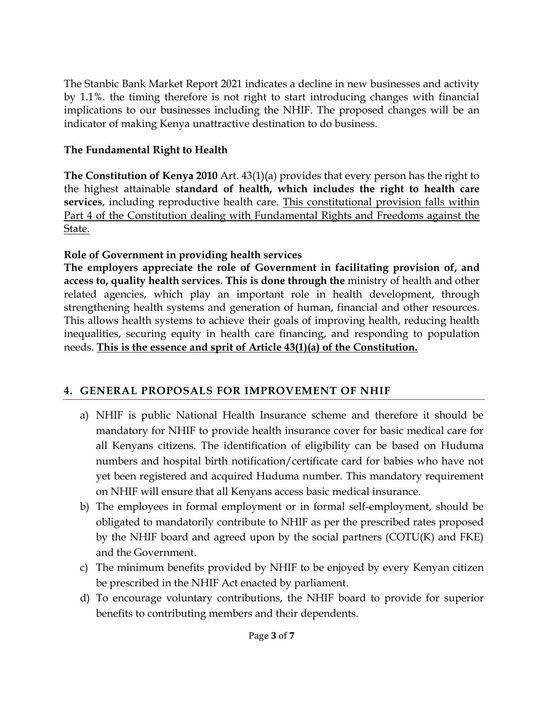The Stanbic Bank Market Report 2021 indicates a decline in new businesses and activity by 1.1%. the timing therefore is not right to start introducing changes with financial implications to our businesses including the NHIF. The proposed changes will be an indicator of making Kenya unattractive destination to do business.

### **The Fundamental Right to Health**

**The Constitution of Kenya 2010** Art. 43(1)(a) provides that every person has the right to the highest attainable **standard of health, which includes the right to health care services**, including reproductive health care. This constitutional provision falls within Part 4 of the Constitution dealing with Fundamental Rights and Freedoms against the State.

### **Role of Government in providing health services**

**The employers appreciate the role of Government in facilitating provision of, and access to, quality health services. This is done through the** ministry of health and other related agencies, which play an important role in health development, through strengthening health systems and generation of human, financial and other resources. This allows health systems to achieve their goals of improving health, reducing health inequalities, securing equity in health care financing, and responding to population needs. **This is the essence and sprit of Article 43(1)(a) of the Constitution.**

### **4. GENERAL PROPOSALS FOR IMPROVEMENT OF NHIF**

- a) NHIF is public National Health Insurance scheme and therefore it should be mandatory for NHIF to provide health insurance cover for basic medical care for all Kenyans citizens. The identification of eligibility can be based on Huduma numbers and hospital birth notification/certificate card for babies who have not yet been registered and acquired Huduma number. This mandatory requirement on NHIF will ensure that all Kenyans access basic medical insurance.
- b) The employees in formal employment or in formal self-employment, should be obligated to mandatorily contribute to NHIF as per the prescribed rates proposed by the NHIF board and agreed upon by the social partners (COTU(K) and FKE) and the Government.
- c) The minimum benefits provided by NHIF to be enjoyed by every Kenyan citizen be prescribed in the NHIF Act enacted by parliament.
- d) To encourage voluntary contributions, the NHIF board to provide for superior benefits to contributing members and their dependents.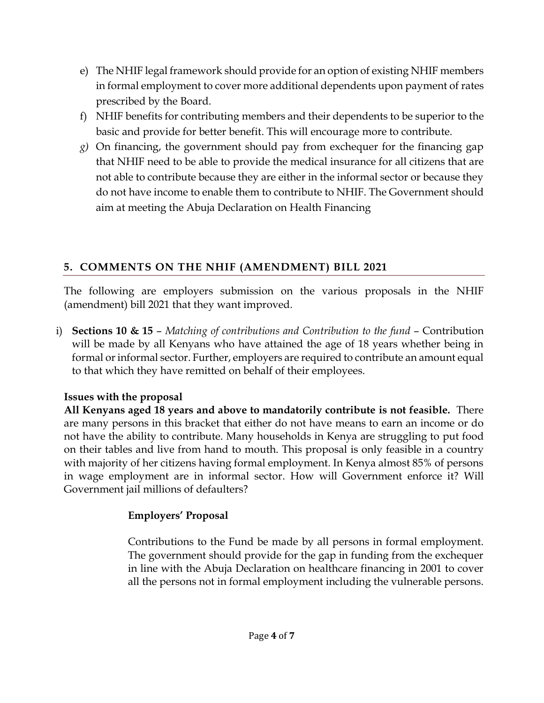- e) The NHIF legal framework should provide for an option of existing NHIF members in formal employment to cover more additional dependents upon payment of rates prescribed by the Board.
- f) NHIF benefits for contributing members and their dependents to be superior to the basic and provide for better benefit. This will encourage more to contribute.
- *g)* On financing, the government should pay from exchequer for the financing gap that NHIF need to be able to provide the medical insurance for all citizens that are not able to contribute because they are either in the informal sector or because they do not have income to enable them to contribute to NHIF. The Government should aim at meeting the Abuja Declaration on Health Financing

# **5. COMMENTS ON THE NHIF (AMENDMENT) BILL 2021**

The following are employers submission on the various proposals in the NHIF (amendment) bill 2021 that they want improved.

i) **Sections 10 & 15** – *Matching of contributions and Contribution to the fund* – Contribution will be made by all Kenyans who have attained the age of 18 years whether being in formal or informal sector. Further, employers are required to contribute an amount equal to that which they have remitted on behalf of their employees.

# **Issues with the proposal**

**All Kenyans aged 18 years and above to mandatorily contribute is not feasible.** There are many persons in this bracket that either do not have means to earn an income or do not have the ability to contribute. Many households in Kenya are struggling to put food on their tables and live from hand to mouth. This proposal is only feasible in a country with majority of her citizens having formal employment. In Kenya almost 85% of persons in wage employment are in informal sector. How will Government enforce it? Will Government jail millions of defaulters?

# **Employers' Proposal**

Contributions to the Fund be made by all persons in formal employment. The government should provide for the gap in funding from the exchequer in line with the Abuja Declaration on healthcare financing in 2001 to cover all the persons not in formal employment including the vulnerable persons.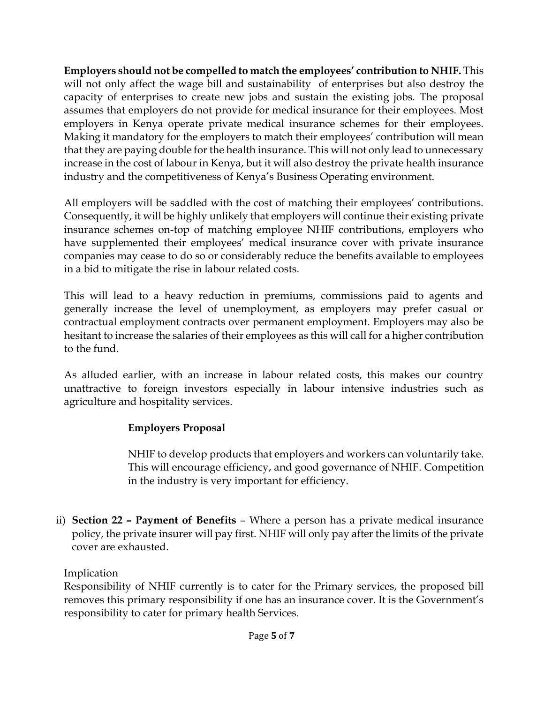**Employers should not be compelled to match the employees' contribution to NHIF.** This will not only affect the wage bill and sustainability of enterprises but also destroy the capacity of enterprises to create new jobs and sustain the existing jobs. The proposal assumes that employers do not provide for medical insurance for their employees. Most employers in Kenya operate private medical insurance schemes for their employees. Making it mandatory for the employers to match their employees' contribution will mean that they are paying double for the health insurance. This will not only lead to unnecessary increase in the cost of labour in Kenya, but it will also destroy the private health insurance industry and the competitiveness of Kenya's Business Operating environment.

All employers will be saddled with the cost of matching their employees' contributions. Consequently, it will be highly unlikely that employers will continue their existing private insurance schemes on-top of matching employee NHIF contributions, employers who have supplemented their employees' medical insurance cover with private insurance companies may cease to do so or considerably reduce the benefits available to employees in a bid to mitigate the rise in labour related costs.

This will lead to a heavy reduction in premiums, commissions paid to agents and generally increase the level of unemployment, as employers may prefer casual or contractual employment contracts over permanent employment. Employers may also be hesitant to increase the salaries of their employees as this will call for a higher contribution to the fund.

As alluded earlier, with an increase in labour related costs, this makes our country unattractive to foreign investors especially in labour intensive industries such as agriculture and hospitality services.

### **Employers Proposal**

NHIF to develop products that employers and workers can voluntarily take. This will encourage efficiency, and good governance of NHIF. Competition in the industry is very important for efficiency.

ii) **Section 22 – Payment of Benefits** – Where a person has a private medical insurance policy, the private insurer will pay first. NHIF will only pay after the limits of the private cover are exhausted.

### Implication

Responsibility of NHIF currently is to cater for the Primary services, the proposed bill removes this primary responsibility if one has an insurance cover. It is the Government's responsibility to cater for primary health Services.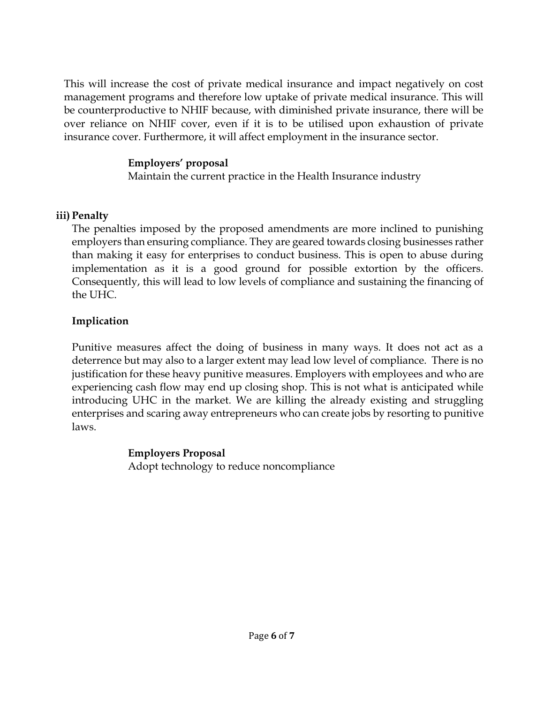This will increase the cost of private medical insurance and impact negatively on cost management programs and therefore low uptake of private medical insurance. This will be counterproductive to NHIF because, with diminished private insurance, there will be over reliance on NHIF cover, even if it is to be utilised upon exhaustion of private insurance cover. Furthermore, it will affect employment in the insurance sector.

#### **Employers' proposal**

Maintain the current practice in the Health Insurance industry

### **iii) Penalty**

The penalties imposed by the proposed amendments are more inclined to punishing employers than ensuring compliance. They are geared towards closing businesses rather than making it easy for enterprises to conduct business. This is open to abuse during implementation as it is a good ground for possible extortion by the officers. Consequently, this will lead to low levels of compliance and sustaining the financing of the UHC.

### **Implication**

Punitive measures affect the doing of business in many ways. It does not act as a deterrence but may also to a larger extent may lead low level of compliance. There is no justification for these heavy punitive measures. Employers with employees and who are experiencing cash flow may end up closing shop. This is not what is anticipated while introducing UHC in the market. We are killing the already existing and struggling enterprises and scaring away entrepreneurs who can create jobs by resorting to punitive laws.

### **Employers Proposal**

Adopt technology to reduce noncompliance